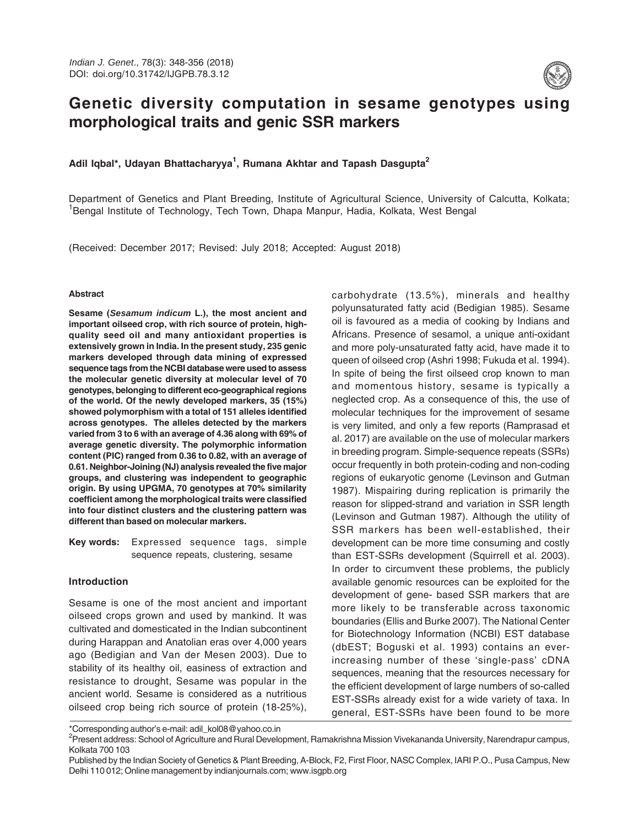

# **Genetic diversity computation in sesame genotypes using morphological traits and genic SSR markers**

## **Adil Iqbal\*, Udayan Bhattacharyya<sup>1</sup> , Rumana Akhtar and Tapash Dasgupta<sup>2</sup>**

Department of Genetics and Plant Breeding, Institute of Agricultural Science, University of Calcutta, Kolkata; <sup>1</sup>Bengal Institute of Technology, Tech Town, Dhapa Manpur, Hadia, Kolkata, West Bengal

(Received: December 2017; Revised: July 2018; Accepted: August 2018)

#### **Abstract**

**Sesame (Sesamum indicum L.), the most ancient and important oilseed crop, with rich source of protein, highquality seed oil and many antioxidant properties is extensively grown in India. In the present study, 235 genic markers developed through data mining of expressed sequence tags from the NCBI database were used to assess the molecular genetic diversity at molecular level of 70 genotypes, belonging to different eco-geographical regions of the world. Of the newly developed markers, 35 (15%) showed polymorphism with a total of 151 alleles identified across genotypes. The alleles detected by the markers varied from 3 to 6 with an average of 4.36 along with 69% of average genetic diversity. The polymorphic information content (PIC) ranged from 0.36 to 0.82, with an average of 0.61. Neighbor-Joining (NJ) analysis revealed the five major groups, and clustering was independent to geographic origin. By using UPGMA, 70 genotypes at 70% similarity coefficient among the morphological traits were classified into four distinct clusters and the clustering pattern was different than based on molecular markers.**

**Key words:** Expressed sequence tags, simple sequence repeats, clustering, sesame

#### **Introduction**

Sesame is one of the most ancient and important oilseed crops grown and used by mankind. It was cultivated and domesticated in the Indian subcontinent during Harappan and Anatolian eras over 4,000 years ago (Bedigian and Van der Mesen 2003). Due to stability of its healthy oil, easiness of extraction and resistance to drought, Sesame was popular in the ancient world. Sesame is considered as a nutritious oilseed crop being rich source of protein (18-25%),

carbohydrate (13.5%), minerals and healthy polyunsaturated fatty acid (Bedigian 1985). Sesame oil is favoured as a media of cooking by Indians and Africans. Presence of sesamol, a unique anti-oxidant and more poly-unsaturated fatty acid, have made it to queen of oilseed crop (Ashri 1998; Fukuda et al. 1994). In spite of being the first oilseed crop known to man and momentous history, sesame is typically a neglected crop. As a consequence of this, the use of molecular techniques for the improvement of sesame is very limited, and only a few reports (Ramprasad et al. 2017) are available on the use of molecular markers in breeding program. Simple-sequence repeats (SSRs) occur frequently in both protein-coding and non-coding regions of eukaryotic genome (Levinson and Gutman 1987). Mispairing during replication is primarily the reason for slipped-strand and variation in SSR length (Levinson and Gutman 1987). Although the utility of SSR markers has been well-established, their development can be more time consuming and costly than EST-SSRs development (Squirrell et al. 2003). In order to circumvent these problems, the publicly available genomic resources can be exploited for the development of gene- based SSR markers that are more likely to be transferable across taxonomic boundaries (Ellis and Burke 2007). The National Center for Biotechnology Information (NCBI) EST database (dbEST; Boguski et al. 1993) contains an everincreasing number of these 'single-pass' cDNA sequences, meaning that the resources necessary for the efficient development of large numbers of so-called EST-SSRs already exist for a wide variety of taxa. In general, EST-SSRs have been found to be more

<sup>\*</sup>Corresponding author's e-mail: adil\_kol08@yahoo.co.in

<sup>&</sup>lt;sup>2</sup>Present address: School of Agriculture and Rural Development, Ramakrishna Mission Vivekananda University, Narendrapur campus, Kolkata 700 103

Published by the Indian Society of Genetics & Plant Breeding, A-Block, F2, First Floor, NASC Complex, IARI P.O., Pusa Campus, New Delhi 110 012; Online management by indianjournals.com; www.isgpb.org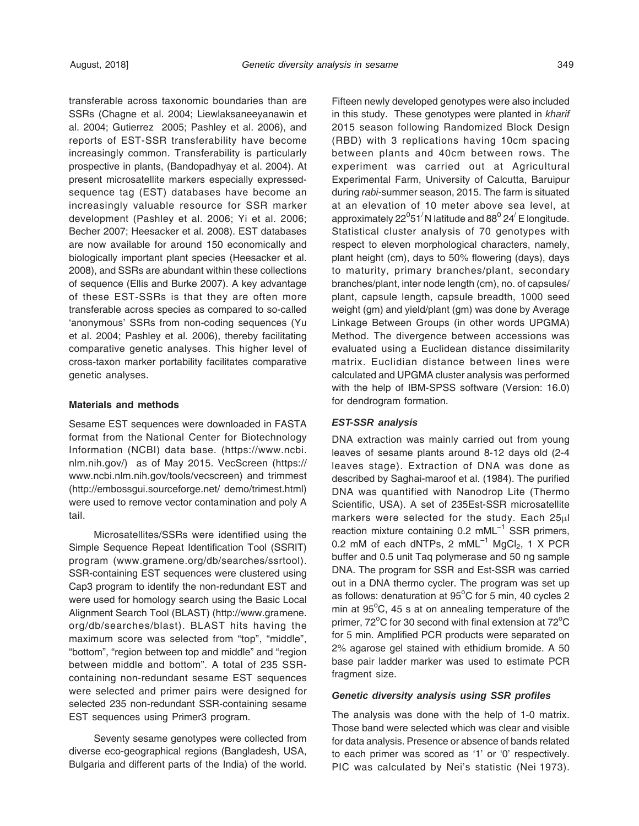transferable across taxonomic boundaries than are SSRs (Chagne et al. 2004; Liewlaksaneeyanawin et al. 2004; Gutierrez 2005; Pashley et al. 2006), and reports of EST-SSR transferability have become increasingly common. Transferability is particularly prospective in plants, (Bandopadhyay et al. 2004). At present microsatellite markers especially expressedsequence tag (EST) databases have become an increasingly valuable resource for SSR marker development (Pashley et al. 2006; Yi et al. 2006; Becher 2007; Heesacker et al. 2008). EST databases are now available for around 150 economically and biologically important plant species (Heesacker et al. 2008), and SSRs are abundant within these collections of sequence (Ellis and Burke 2007). A key advantage of these EST-SSRs is that they are often more transferable across species as compared to so-called 'anonymous' SSRs from non-coding sequences (Yu et al. 2004; Pashley et al. 2006), thereby facilitating comparative genetic analyses. This higher level of cross-taxon marker portability facilitates comparative genetic analyses.

#### **Materials and methods**

Sesame EST sequences were downloaded in FASTA format from the National Center for Biotechnology Information (NCBI) data base. (https://www.ncbi. nlm.nih.gov/) as of May 2015. VecScreen (https:// www.ncbi.nlm.nih.gov/tools/vecscreen) and trimmest (http://embossgui.sourceforge.net/ demo/trimest.html) were used to remove vector contamination and poly A tail.

Microsatellites/SSRs were identified using the Simple Sequence Repeat Identification Tool (SSRIT) program (www.gramene.org/db/searches/ssrtool). SSR-containing EST sequences were clustered using Cap3 program to identify the non-redundant EST and were used for homology search using the Basic Local Alignment Search Tool (BLAST) (http://www.gramene. org/db/searches/blast). BLAST hits having the maximum score was selected from "top", "middle", "bottom", "region between top and middle" and "region between middle and bottom". A total of 235 SSRcontaining non-redundant sesame EST sequences were selected and primer pairs were designed for selected 235 non-redundant SSR-containing sesame EST sequences using Primer3 program.

Seventy sesame genotypes were collected from diverse eco-geographical regions (Bangladesh, USA, Bulgaria and different parts of the India) of the world.

Fifteen newly developed genotypes were also included in this study. These genotypes were planted in kharif 2015 season following Randomized Block Design (RBD) with 3 replications having 10cm spacing between plants and 40cm between rows. The experiment was carried out at Agricultural Experimental Farm, University of Calcutta, Baruipur during rabi-summer season, 2015. The farm is situated at an elevation of 10 meter above sea level, at approximately 22 $^0$ 51 $^\prime$ N latitude and 88 $^0$  24 $^\prime$  E longitude. Statistical cluster analysis of 70 genotypes with respect to eleven morphological characters, namely, plant height (cm), days to 50% flowering (days), days to maturity, primary branches/plant, secondary branches/plant, inter node length (cm), no. of capsules/ plant, capsule length, capsule breadth, 1000 seed weight (gm) and yield/plant (gm) was done by Average Linkage Between Groups (in other words UPGMA) Method. The divergence between accessions was evaluated using a Euclidean distance dissimilarity matrix. Euclidian distance between lines were calculated and UPGMA cluster analysis was performed with the help of IBM-SPSS software (Version: 16.0) for dendrogram formation.

#### **EST-SSR analysis**

DNA extraction was mainly carried out from young leaves of sesame plants around 8-12 days old (2-4 leaves stage). Extraction of DNA was done as described by Saghai-maroof et al. (1984). The purified DNA was quantified with Nanodrop Lite (Thermo Scientific, USA). A set of 235Est-SSR microsatellite markers were selected for the study. Each 25µl reaction mixture containing  $0.2 \text{ mML}^{-1}$  SSR primers, 0.2 mM of each dNTPs, 2 mML $^{-1}$  MgCl<sub>2</sub>, 1 X PCR buffer and 0.5 unit Taq polymerase and 50 ng sample DNA. The program for SSR and Est-SSR was carried out in a DNA thermo cycler. The program was set up as follows: denaturation at  $95^{\circ}$ C for 5 min, 40 cycles 2 min at  $95^{\circ}$ C, 45 s at on annealing temperature of the primer,  $72^{\circ}$ C for 30 second with final extension at  $72^{\circ}$ C for 5 min. Amplified PCR products were separated on 2% agarose gel stained with ethidium bromide. A 50 base pair ladder marker was used to estimate PCR fragment size.

#### **Genetic diversity analysis using SSR profiles**

The analysis was done with the help of 1-0 matrix. Those band were selected which was clear and visible for data analysis. Presence or absence of bands related to each primer was scored as '1' or '0' respectively. PIC was calculated by Nei's statistic (Nei 1973).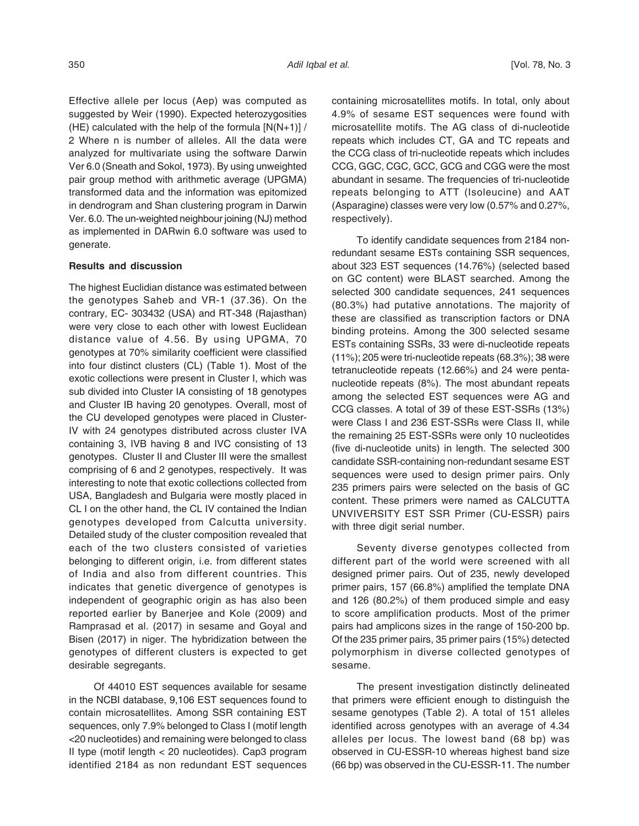Effective allele per locus (Aep) was computed as suggested by Weir (1990). Expected heterozygosities (HE) calculated with the help of the formula  $[N(N+1)]/$ 2 Where n is number of alleles. All the data were analyzed for multivariate using the software Darwin Ver 6.0 (Sneath and Sokol, 1973). By using unweighted pair group method with arithmetic average (UPGMA) transformed data and the information was epitomized in dendrogram and Shan clustering program in Darwin Ver. 6.0. The un-weighted neighbour joining (NJ) method as implemented in DARwin 6.0 software was used to generate.

### **Results and discussion**

The highest Euclidian distance was estimated between the genotypes Saheb and VR-1 (37.36). On the contrary, EC- 303432 (USA) and RT-348 (Rajasthan) were very close to each other with lowest Euclidean distance value of 4.56. By using UPGMA, 70 genotypes at 70% similarity coefficient were classified into four distinct clusters (CL) (Table 1). Most of the exotic collections were present in Cluster I, which was sub divided into Cluster IA consisting of 18 genotypes and Cluster IB having 20 genotypes. Overall, most of the CU developed genotypes were placed in Cluster-IV with 24 genotypes distributed across cluster IVA containing 3, IVB having 8 and IVC consisting of 13 genotypes. Cluster II and Cluster III were the smallest comprising of 6 and 2 genotypes, respectively. It was interesting to note that exotic collections collected from USA, Bangladesh and Bulgaria were mostly placed in CL I on the other hand, the CL IV contained the Indian genotypes developed from Calcutta university. Detailed study of the cluster composition revealed that each of the two clusters consisted of varieties belonging to different origin, i.e. from different states of India and also from different countries. This indicates that genetic divergence of genotypes is independent of geographic origin as has also been reported earlier by Banerjee and Kole (2009) and Ramprasad et al. (2017) in sesame and Goyal and Bisen (2017) in niger. The hybridization between the genotypes of different clusters is expected to get desirable segregants.

Of 44010 EST sequences available for sesame in the NCBI database, 9,106 EST sequences found to contain microsatellites. Among SSR containing EST sequences, only 7.9% belonged to Class I (motif length <20 nucleotides) and remaining were belonged to class II type (motif length < 20 nucleotides). Cap3 program identified 2184 as non redundant EST sequences

containing microsatellites motifs. In total, only about 4.9% of sesame EST sequences were found with microsatellite motifs. The AG class of di-nucleotide repeats which includes CT, GA and TC repeats and the CCG class of tri-nucleotide repeats which includes CCG, GGC, CGC, GCC, GCG and CGG were the most abundant in sesame. The frequencies of tri-nucleotide repeats belonging to ATT (Isoleucine) and AAT (Asparagine) classes were very low (0.57% and 0.27%, respectively).

To identify candidate sequences from 2184 nonredundant sesame ESTs containing SSR sequences, about 323 EST sequences (14.76%) (selected based on GC content) were BLAST searched. Among the selected 300 candidate sequences, 241 sequences (80.3%) had putative annotations. The majority of these are classified as transcription factors or DNA binding proteins. Among the 300 selected sesame ESTs containing SSRs, 33 were di-nucleotide repeats (11%); 205 were tri-nucleotide repeats (68.3%); 38 were tetranucleotide repeats (12.66%) and 24 were pentanucleotide repeats (8%). The most abundant repeats among the selected EST sequences were AG and CCG classes. A total of 39 of these EST-SSRs (13%) were Class I and 236 EST-SSRs were Class II, while the remaining 25 EST-SSRs were only 10 nucleotides (five di-nucleotide units) in length. The selected 300 candidate SSR-containing non-redundant sesame EST sequences were used to design primer pairs. Only 235 primers pairs were selected on the basis of GC content. These primers were named as CALCUTTA UNVIVERSITY EST SSR Primer (CU-ESSR) pairs with three digit serial number.

Seventy diverse genotypes collected from different part of the world were screened with all designed primer pairs. Out of 235, newly developed primer pairs, 157 (66.8%) amplified the template DNA and 126 (80.2%) of them produced simple and easy to score amplification products. Most of the primer pairs had amplicons sizes in the range of 150-200 bp. Of the 235 primer pairs, 35 primer pairs (15%) detected polymorphism in diverse collected genotypes of sesame.

The present investigation distinctly delineated that primers were efficient enough to distinguish the sesame genotypes (Table 2). A total of 151 alleles identified across genotypes with an average of 4.34 alleles per locus. The lowest band (68 bp) was observed in CU-ESSR-10 whereas highest band size (66 bp) was observed in the CU-ESSR-11. The number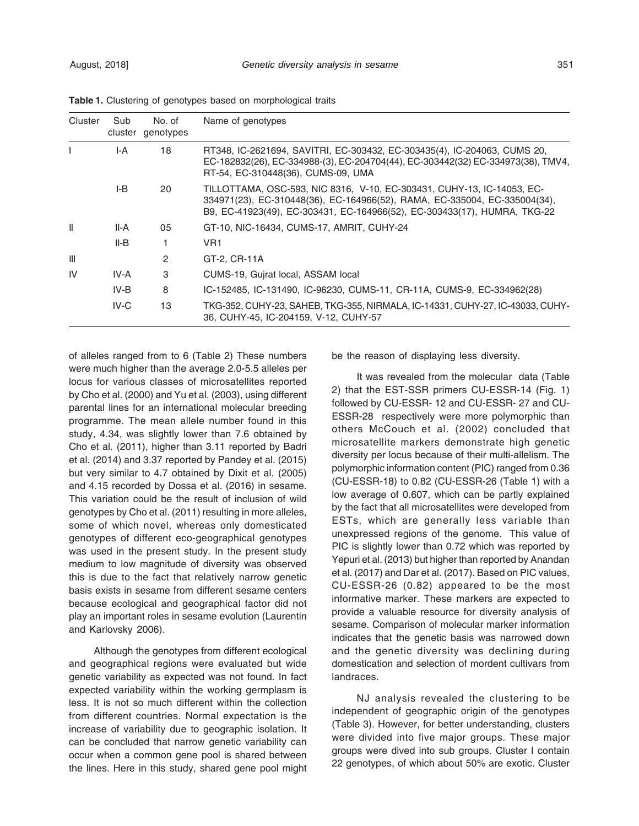| Cluster        | Sub    | No. of<br>cluster genotypes | Name of genotypes                                                                                                                                                                                                               |
|----------------|--------|-----------------------------|---------------------------------------------------------------------------------------------------------------------------------------------------------------------------------------------------------------------------------|
|                | I-A    | 18                          | RT348, IC-2621694, SAVITRI, EC-303432, EC-303435(4), IC-204063, CUMS 20,<br>EC-182832(26), EC-334988-(3), EC-204704(44), EC-303442(32) EC-334973(38), TMV4,<br>RT-54, EC-310448(36), CUMS-09, UMA                               |
|                | I-B    | 20                          | TILLOTTAMA, OSC-593, NIC 8316, V-10, EC-303431, CUHY-13, IC-14053, EC-<br>334971(23), EC-310448(36), EC-164966(52), RAMA, EC-335004, EC-335004(34),<br>B9, EC-41923(49), EC-303431, EC-164966(52), EC-303433(17), HUMRA, TKG-22 |
| Ш              | II-A   | 05                          | GT-10, NIC-16434, CUMS-17, AMRIT, CUHY-24                                                                                                                                                                                       |
|                | $II-B$ | 1                           | VR <sub>1</sub>                                                                                                                                                                                                                 |
| $\mathbf{III}$ |        | 2                           | GT-2, CR-11A                                                                                                                                                                                                                    |
| IV             | IV-A   | 3                           | CUMS-19, Guirat local, ASSAM local                                                                                                                                                                                              |
|                | IV-B   | 8                           | IC-152485, IC-131490, IC-96230, CUMS-11, CR-11A, CUMS-9, EC-334962(28)                                                                                                                                                          |
|                | IV-C   | 13                          | TKG-352, CUHY-23, SAHEB, TKG-355, NIRMALA, IC-14331, CUHY-27, IC-43033, CUHY-<br>36, CUHY-45, IC-204159, V-12, CUHY-57                                                                                                          |

**Table 1.** Clustering of genotypes based on morphological traits

of alleles ranged from to 6 (Table 2) These numbers were much higher than the average 2.0-5.5 alleles per locus for various classes of microsatellites reported by Cho et al. (2000) and Yu et al. (2003), using different parental lines for an international molecular breeding programme. The mean allele number found in this study, 4.34, was slightly lower than 7.6 obtained by Cho et al. (2011), higher than 3.11 reported by Badri et al. (2014) and 3.37 reported by Pandey et al. (2015) but very similar to 4.7 obtained by Dixit et al. (2005) and 4.15 recorded by Dossa et al. (2016) in sesame. This variation could be the result of inclusion of wild genotypes by Cho et al. (2011) resulting in more alleles, some of which novel, whereas only domesticated genotypes of different eco-geographical genotypes was used in the present study. In the present study medium to low magnitude of diversity was observed this is due to the fact that relatively narrow genetic basis exists in sesame from different sesame centers because ecological and geographical factor did not play an important roles in sesame evolution (Laurentin and Karlovsky 2006).

Although the genotypes from different ecological and geographical regions were evaluated but wide genetic variability as expected was not found. In fact expected variability within the working germplasm is less. It is not so much different within the collection from different countries. Normal expectation is the increase of variability due to geographic isolation. It can be concluded that narrow genetic variability can occur when a common gene pool is shared between the lines. Here in this study, shared gene pool might

be the reason of displaying less diversity.

It was revealed from the molecular data (Table 2) that the EST-SSR primers CU-ESSR-14 (Fig. 1) followed by CU-ESSR- 12 and CU-ESSR- 27 and CU-ESSR-28 respectively were more polymorphic than others McCouch et al. (2002) concluded that microsatellite markers demonstrate high genetic diversity per locus because of their multi-allelism. The polymorphic information content (PIC) ranged from 0.36 (CU-ESSR-18) to 0.82 (CU-ESSR-26 (Table 1) with a low average of 0.607, which can be partly explained by the fact that all microsatellites were developed from ESTs, which are generally less variable than unexpressed regions of the genome. This value of PIC is slightly lower than 0.72 which was reported by Yepuri et al. (2013) but higher than reported by Anandan et al. (2017) and Dar et al. (2017). Based on PIC values, CU-ESSR-26 (0.82) appeared to be the most informative marker. These markers are expected to provide a valuable resource for diversity analysis of sesame. Comparison of molecular marker information indicates that the genetic basis was narrowed down and the genetic diversity was declining during domestication and selection of mordent cultivars from landraces.

NJ analysis revealed the clustering to be independent of geographic origin of the genotypes (Table 3). However, for better understanding, clusters were divided into five major groups. These major groups were dived into sub groups. Cluster I contain 22 genotypes, of which about 50% are exotic. Cluster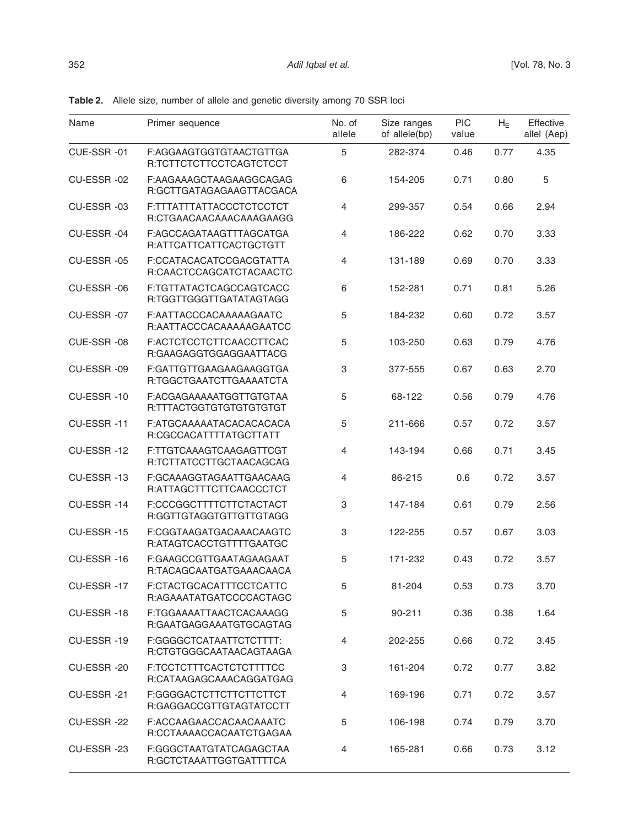| Name       | Primer sequence                                     | No. of<br>allele | Size ranges<br>of allele(bp) | <b>PIC</b><br>value | $H_E$ | Effective<br>allel (Aep) |
|------------|-----------------------------------------------------|------------------|------------------------------|---------------------|-------|--------------------------|
| CUE-SSR-01 | F:AGGAAGTGGTGTAACTGTTGA<br>R:TCTTCTCTTCCTCAGTCTCCT  | 5                | 282-374                      | 0.46                | 0.77  | 4.35                     |
| CU-ESSR-02 | F:AAGAAAGCTAAGAAGGCAGAG<br>R:GCTTGATAGAGAAGTTACGACA | 6                | 154-205                      | 0.71                | 0.80  | 5                        |
| CU-ESSR-03 | F:TTTATTTATTACCCTCTCCTCT<br>R:CTGAACAACAAACAAAGAAGG | $\overline{4}$   | 299-357                      | 0.54                | 0.66  | 2.94                     |
| CU-ESSR-04 | F:AGCCAGATAAGTTTAGCATGA<br>R:ATTCATTCATTCACTGCTGTT  | $\overline{4}$   | 186-222                      | 0.62                | 0.70  | 3.33                     |
| CU-ESSR-05 | F:CCATACACATCCGACGTATTA<br>R:CAACTCCAGCATCTACAACTC  | 4                | 131-189                      | 0.69                | 0.70  | 3.33                     |
| CU-ESSR-06 | F:TGTTATACTCAGCCAGTCACC<br>R:TGGTTGGGTTGATATAGTAGG  | 6                | 152-281                      | 0.71                | 0.81  | 5.26                     |
| CU-ESSR-07 | F:AATTACCCACAAAAAGAATC<br>R:AATTACCCACAAAAAGAATCC   | 5                | 184-232                      | 0.60                | 0.72  | 3.57                     |
| CUE-SSR-08 | F:ACTCTCCTCTTCAACCTTCAC<br>R:GAAGAGGTGGAGGAATTACG   | 5                | 103-250                      | 0.63                | 0.79  | 4.76                     |
| CU-ESSR-09 | F:GATTGTTGAAGAAGAAGGTGA<br>R:TGGCTGAATCTTGAAAATCTA  | 3                | 377-555                      | 0.67                | 0.63  | 2.70                     |
| CU-ESSR-10 | F:ACGAGAAAAAATGGTTGTGTAA<br>R:TTTACTGGTGTGTGTGTGTGT | 5                | 68-122                       | 0.56                | 0.79  | 4.76                     |
| CU-ESSR-11 | F:ATGCAAAAATACACACACACA<br>R:CGCCACATTTTATGCTTATT   | 5                | 211-666                      | 0.57                | 0.72  | 3.57                     |
| CU-ESSR-12 | F:TTGTCAAAGTCAAGAGTTCGT<br>R:TCTTATCCTTGCTAACAGCAG  | $\overline{4}$   | 143-194                      | 0.66                | 0.71  | 3.45                     |
| CU-ESSR-13 | F:GCAAAGGTAGAATTGAACAAG<br>R:ATTAGCTTTCTTCAACCCTCT  | $\overline{4}$   | 86-215                       | 0.6                 | 0.72  | 3.57                     |
| CU-ESSR-14 | F:CCCGGCTTTTCTTCTACTACT<br>R:GGTTGTAGGTGTTGTTGTAGG  | 3                | 147-184                      | 0.61                | 0.79  | 2.56                     |
| CU-ESSR-15 | F:CGGTAAGATGACAAACAAGTC<br>R:ATAGTCACCTGTTTTGAATGC  | 3                | 122-255                      | 0.57                | 0.67  | 3.03                     |
| CU-ESSR-16 | F:GAAGCCGTTGAATAGAAGAAT<br>R:TACAGCAATGATGAAACAACA  | 5                | 171-232                      | 0.43                | 0.72  | 3.57                     |
| CU-ESSR-17 | F:CTACTGCACATTTCCTCATTC<br>R:AGAAATATGATCCCCACTAGC  | 5                | 81-204                       | 0.53                | 0.73  | 3.70                     |
| CU-ESSR-18 | F:TGGAAAATTAACTCACAAAGG<br>R:GAATGAGGAAATGTGCAGTAG  | 5                | 90-211                       | 0.36                | 0.38  | 1.64                     |
| CU-ESSR-19 | F:GGGGCTCATAATTCTCTTTT:<br>R:CTGTGGGCAATAACAGTAAGA  | 4                | 202-255                      | 0.66                | 0.72  | 3.45                     |
| CU-ESSR-20 | F:TCCTCTTTCACTCTCTTTTCC<br>R:CATAAGAGCAAACAGGATGAG  | 3                | 161-204                      | 0.72                | 0.77  | 3.82                     |
| CU-ESSR-21 | F:GGGGACTCTTCTTCTTCTTCT<br>R:GAGGACCGTTGTAGTATCCTT  | 4                | 169-196                      | 0.71                | 0.72  | 3.57                     |
| CU-ESSR-22 | F:ACCAAGAACCACAACAAATC<br>R:CCTAAAACCACAATCTGAGAA   | 5                | 106-198                      | 0.74                | 0.79  | 3.70                     |
| CU-ESSR-23 | F:GGGCTAATGTATCAGAGCTAA<br>R:GCTCTAAATTGGTGATTTTCA  | 4                | 165-281                      | 0.66                | 0.73  | 3.12                     |

**Table 2.** Allele size, number of allele and genetic diversity among 70 SSR loci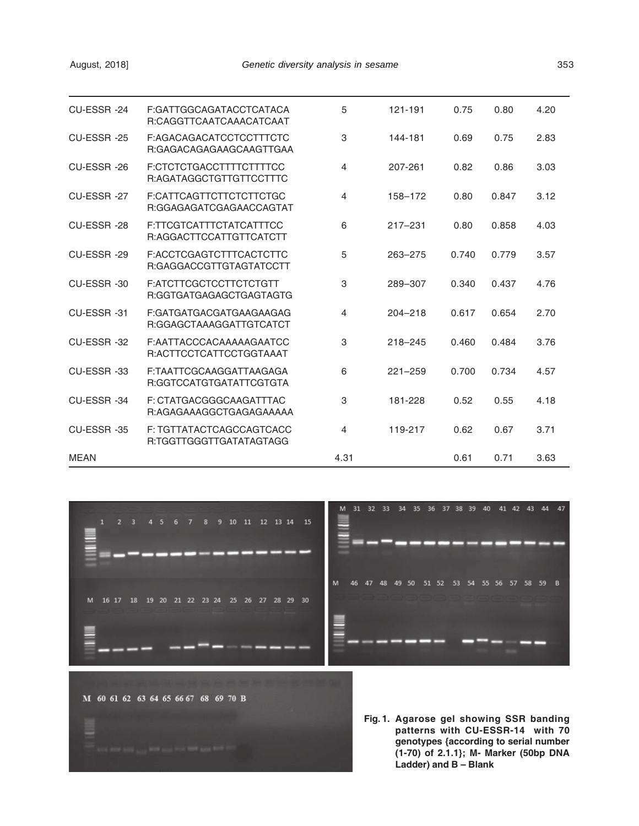| CU-ESSR-24  | F:GATTGGCAGATACCTCATACA<br>R:CAGGTTCAATCAAACATCAAT  | 5              | 121-191     | 0.75  | 0.80  | 4.20 |
|-------------|-----------------------------------------------------|----------------|-------------|-------|-------|------|
| CU-ESSR-25  | F:AGACAGACATCCTCCTTTCTC<br>R:GAGACAGAGAAGCAAGTTGAA  | 3              | 144-181     | 0.69  | 0.75  | 2.83 |
| CU-ESSR-26  | F:CTCTCTGACCTTTTCTTTTCC<br>R:AGATAGGCTGTTGTTCCTTTC  | $\overline{4}$ | 207-261     | 0.82  | 0.86  | 3.03 |
| CU-ESSR-27  | F:CATTCAGTTCTTCTCTTCTGC<br>R:GGAGAGATCGAGAACCAGTAT  | 4              | 158-172     | 0.80  | 0.847 | 3.12 |
| CU-ESSR-28  | F:TTCGTCATTTCTATCATTTCC<br>R:AGGACTTCCATTGTTCATCTT  | 6              | $217 - 231$ | 0.80  | 0.858 | 4.03 |
| CU-ESSR-29  | F:ACCTCGAGTCTTTCACTCTTC<br>R:GAGGACCGTTGTAGTATCCTT  | 5              | 263-275     | 0.740 | 0.779 | 3.57 |
| CU-ESSR-30  | F:ATCTTCGCTCCTTCTCTGTT<br>R:GGTGATGAGAGCTGAGTAGTG   | 3              | 289-307     | 0.340 | 0.437 | 4.76 |
| CU-ESSR-31  | F:GATGATGACGATGAAGAAGAG<br>R:GGAGCTAAAGGATTGTCATCT  | 4              | $204 - 218$ | 0.617 | 0.654 | 2.70 |
| CU-ESSR-32  | F:AATTACCCACAAAAAGAATCC<br>R:ACTTCCTCATTCCTGGTAAAT  | 3              | $218 - 245$ | 0.460 | 0.484 | 3.76 |
| CU-ESSR-33  | F:TAATTCGCAAGGATTAAGAGA<br>R:GGTCCATGTGATATTCGTGTA  | 6              | $221 - 259$ | 0.700 | 0.734 | 4.57 |
| CU-ESSR-34  | F: CTATGACGGGCAAGATTTAC<br>R:AGAGAAAGGCTGAGAGAAAAA  | 3              | 181-228     | 0.52  | 0.55  | 4.18 |
| CU-ESSR-35  | F: TGTTATACTCAGCCAGTCACC<br>R:TGGTTGGGTTGATATAGTAGG | $\overline{4}$ | 119-217     | 0.62  | 0.67  | 3.71 |
| <b>MEAN</b> |                                                     | 4.31           |             | 0.61  | 0.71  | 3.63 |



**Fig. 1. Agarose gel showing SSR banding patterns with CU-ESSR-14 with 70 genotypes {according to serial number (1-70) of 2.1.1}; M- Marker (50bp DNA Ladder) and B – Blank**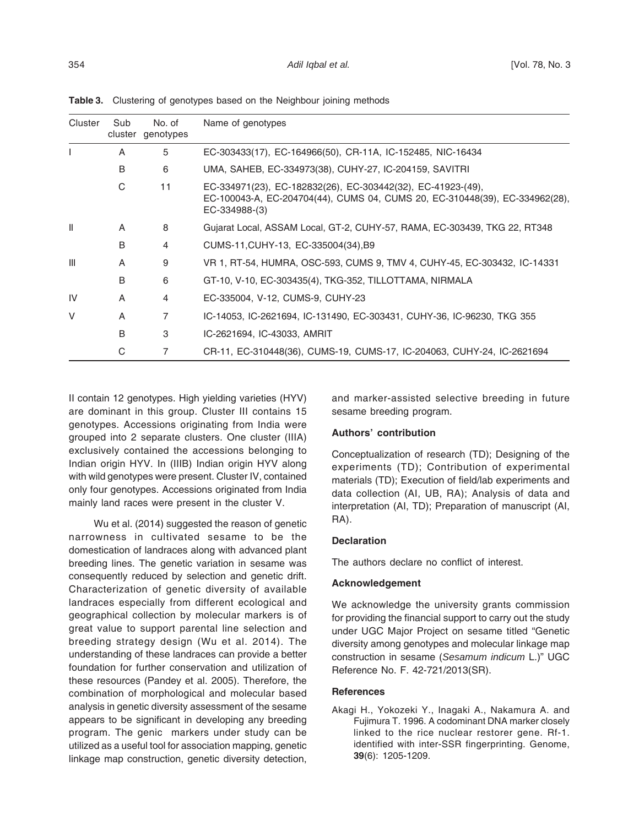| Cluster        | Sub | No. of<br>cluster genotypes | Name of genotypes                                                                                                                                           |
|----------------|-----|-----------------------------|-------------------------------------------------------------------------------------------------------------------------------------------------------------|
|                | A   | 5                           | EC-303433(17), EC-164966(50), CR-11A, IC-152485, NIC-16434                                                                                                  |
|                | B   | 6                           | UMA, SAHEB, EC-334973(38), CUHY-27, IC-204159, SAVITRI                                                                                                      |
|                | C   | 11                          | EC-334971(23), EC-182832(26), EC-303442(32), EC-41923-(49),<br>EC-100043-A, EC-204704(44), CUMS 04, CUMS 20, EC-310448(39), EC-334962(28),<br>EC-334988-(3) |
| $\mathbf{I}$   | A   | 8                           | Gujarat Local, ASSAM Local, GT-2, CUHY-57, RAMA, EC-303439, TKG 22, RT348                                                                                   |
|                | B   | 4                           | CUMS-11, CUHY-13, EC-335004(34), B9                                                                                                                         |
| $\mathbf{III}$ | A   | 9                           | VR 1, RT-54, HUMRA, OSC-593, CUMS 9, TMV 4, CUHY-45, EC-303432, IC-14331                                                                                    |
|                | B   | 6                           | GT-10, V-10, EC-303435(4), TKG-352, TILLOTTAMA, NIRMALA                                                                                                     |
| IV             | A   | 4                           | EC-335004, V-12, CUMS-9, CUHY-23                                                                                                                            |
| V              | A   | 7                           | IC-14053, IC-2621694, IC-131490, EC-303431, CUHY-36, IC-96230, TKG 355                                                                                      |
|                | B   | 3                           | IC-2621694, IC-43033, AMRIT                                                                                                                                 |
|                | C   | 7                           | CR-11, EC-310448(36), CUMS-19, CUMS-17, IC-204063, CUHY-24, IC-2621694                                                                                      |

**Table 3.** Clustering of genotypes based on the Neighbour joining methods

II contain 12 genotypes. High yielding varieties (HYV) are dominant in this group. Cluster III contains 15 genotypes. Accessions originating from India were grouped into 2 separate clusters. One cluster (IIIA) exclusively contained the accessions belonging to Indian origin HYV. In (IIIB) Indian origin HYV along with wild genotypes were present. Cluster IV, contained only four genotypes. Accessions originated from India mainly land races were present in the cluster V.

Wu et al. (2014) suggested the reason of genetic narrowness in cultivated sesame to be the domestication of landraces along with advanced plant breeding lines. The genetic variation in sesame was consequently reduced by selection and genetic drift. Characterization of genetic diversity of available landraces especially from different ecological and geographical collection by molecular markers is of great value to support parental line selection and breeding strategy design (Wu et al. 2014). The understanding of these landraces can provide a better foundation for further conservation and utilization of these resources (Pandey et al. 2005). Therefore, the combination of morphological and molecular based analysis in genetic diversity assessment of the sesame appears to be significant in developing any breeding program. The genic markers under study can be utilized as a useful tool for association mapping, genetic linkage map construction, genetic diversity detection,

and marker-assisted selective breeding in future sesame breeding program.

#### **Authors' contribution**

Conceptualization of research (TD); Designing of the experiments (TD); Contribution of experimental materials (TD); Execution of field/lab experiments and data collection (AI, UB, RA); Analysis of data and interpretation (AI, TD); Preparation of manuscript (AI, RA).

#### **Declaration**

The authors declare no conflict of interest.

#### **Acknowledgement**

We acknowledge the university grants commission for providing the financial support to carry out the study under UGC Major Project on sesame titled "Genetic diversity among genotypes and molecular linkage map construction in sesame (Sesamum indicum L.)" UGC Reference No. F. 42-721/2013(SR).

#### **References**

Akagi H., Yokozeki Y., Inagaki A., Nakamura A. and Fujimura T. 1996. A codominant DNA marker closely linked to the rice nuclear restorer gene. Rf-1. identified with inter-SSR fingerprinting. Genome, **39**(6): 1205-1209.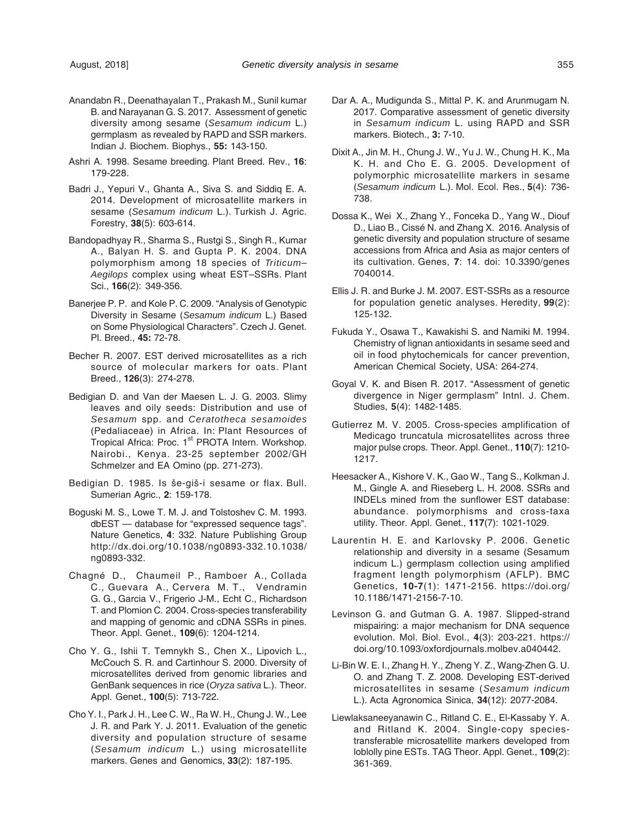- Anandabn R., Deenathayalan T., Prakash M., Sunil kumar B. and Narayanan G. S. 2017. Assessment of genetic diversity among sesame (Sesamum indicum L.) germplasm as revealed by RAPD and SSR markers. Indian J. Biochem. Biophys., **55:** 143-150.
- Ashri A. 1998. Sesame breeding. Plant Breed. Rev., **16**: 179-228.
- Badri J., Yepuri V., Ghanta A., Siva S. and Siddiq E. A. 2014. Development of microsatellite markers in sesame (Sesamum indicum L.). Turkish J. Agric. Forestry, **38**(5): 603-614.
- Bandopadhyay R., Sharma S., Rustgi S., Singh R., Kumar A., Balyan H. S. and Gupta P. K. 2004. DNA polymorphism among 18 species of Triticum– Aegilops complex using wheat EST–SSRs. Plant Sci., **166**(2): 349-356.
- Banerjee P. P. and Kole P. C. 2009. "Analysis of Genotypic Diversity in Sesame (Sesamum indicum L.) Based on Some Physiological Characters". Czech J. Genet. Pl. Breed., **45:** 72-78.
- Becher R. 2007. EST derived microsatellites as a rich source of molecular markers for oats. Plant Breed., **126**(3): 274-278.
- Bedigian D. and Van der Maesen L. J. G. 2003. Slimy leaves and oily seeds: Distribution and use of Sesamum spp. and Ceratotheca sesamoides (Pedaliaceae) in Africa. In: Plant Resources of Tropical Africa: Proc. 1<sup>st</sup> PROTA Intern. Workshop. Nairobi., Kenya. 23-25 september 2002/GH Schmelzer and EA Omino (pp. 271-273).
- Bedigian D. 1985. Is še-giš-i sesame or flax. Bull. Sumerian Agric., **2**: 159-178.
- Boguski M. S., Lowe T. M. J. and Tolstoshev C. M. 1993. dbEST — database for "expressed sequence tags". Nature Genetics, **4**: 332. Nature Publishing Group http://dx.doi.org/10.1038/ng0893-332.10.1038/ ng0893-332.
- Chagné D., Chaumeil P., Ramboer A., Collada C., Guevara A., Cervera M. T., Vendramin G. G., Garcia V., Frigerio J-M., Echt C., Richardson T. and Plomion C. 2004. Cross-species transferability and mapping of genomic and cDNA SSRs in pines. Theor. Appl. Genet., **109**(6): 1204-1214.
- Cho Y. G., Ishii T. Temnykh S., Chen X., Lipovich L., McCouch S. R. and Cartinhour S. 2000. Diversity of microsatellites derived from genomic libraries and GenBank sequences in rice (Oryza sativa L.). Theor. Appl. Genet., **100**(5): 713-722.
- Cho Y. I., Park J. H., Lee C. W., Ra W. H., Chung J. W., Lee J. R. and Park Y. J. 2011. Evaluation of the genetic diversity and population structure of sesame (Sesamum indicum L.) using microsatellite markers. Genes and Genomics, **33**(2): 187-195.
- Dar A. A., Mudigunda S., Mittal P. K. and Arunmugam N. 2017. Comparative assessment of genetic diversity in Sesamum indicum L. using RAPD and SSR markers. Biotech., **3:** 7-10.
- Dixit A., Jin M. H., Chung J. W., Yu J. W., Chung H. K., Ma K. H. and Cho E. G. 2005. Development of polymorphic microsatellite markers in sesame (Sesamum indicum L.). Mol. Ecol. Res., **5**(4): 736- 738.
- Dossa K., Wei X., Zhang Y., Fonceka D., Yang W., Diouf D., Liao B., Cissé N. and Zhang X. 2016. Analysis of genetic diversity and population structure of sesame accessions from Africa and Asia as major centers of its cultivation. Genes, **7**: 14. doi: 10.3390/genes 7040014.
- Ellis J. R. and Burke J. M. 2007. EST-SSRs as a resource for population genetic analyses. Heredity, **99**(2): 125-132.
- Fukuda Y., Osawa T., Kawakishi S. and Namiki M. 1994. Chemistry of lignan antioxidants in sesame seed and oil in food phytochemicals for cancer prevention, American Chemical Society, USA: 264-274.
- Goyal V. K. and Bisen R. 2017. "Assessment of genetic divergence in Niger germplasm" Intnl. J. Chem. Studies, **5**(4): 1482-1485.
- Gutierrez M. V. 2005. Cross-species amplification of Medicago truncatula microsatellites across three major pulse crops. Theor. Appl. Genet., **110**(7): 1210- 1217.
- Heesacker A., Kishore V. K., Gao W., Tang S., Kolkman J. M., Gingle A. and Rieseberg L. H. 2008. SSRs and INDELs mined from the sunflower EST database: abundance. polymorphisms and cross-taxa utility. Theor. Appl. Genet., **117**(7): 1021-1029.
- Laurentin H. E. and Karlovsky P. 2006. Genetic relationship and diversity in a sesame (Sesamum indicum L.) germplasm collection using amplified fragment length polymorphism (AFLP). BMC Genetics, **10-7**(1): 1471-2156. https://doi.org/ 10.1186/1471-2156-7-10.
- Levinson G. and Gutman G. A. 1987. Slipped-strand mispairing: a major mechanism for DNA sequence evolution. Mol. Biol. Evol., **4**(3): 203-221. https:// doi.org/10.1093/oxfordjournals.molbev.a040442.
- Li-Bin W. E. I., Zhang H. Y., Zheng Y. Z., Wang-Zhen G. U. O. and Zhang T. Z. 2008. Developing EST-derived microsatellites in sesame (Sesamum indicum L.). Acta Agronomica Sinica, **34**(12): 2077-2084.
- Liewlaksaneeyanawin C., Ritland C. E., El-Kassaby Y. A. and Ritland K. 2004. Single-copy speciestransferable microsatellite markers developed from loblolly pine ESTs. TAG Theor. Appl. Genet., **109**(2): 361-369.